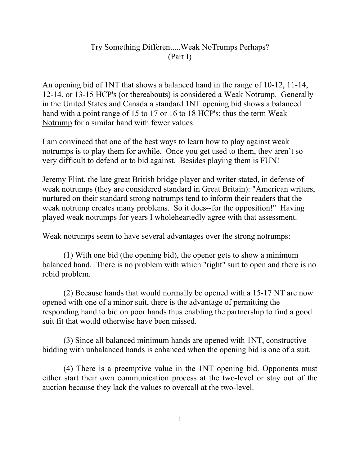## Try Something Different....Weak NoTrumps Perhaps? (Part I)

An opening bid of 1NT that shows a balanced hand in the range of 10-12, 11-14, 12-14, or 13-15 HCP's (or thereabouts) is considered a Weak Notrump. Generally in the United States and Canada a standard 1NT opening bid shows a balanced hand with a point range of 15 to 17 or 16 to 18 HCP's; thus the term Weak Notrump for a similar hand with fewer values.

I am convinced that one of the best ways to learn how to play against weak notrumps is to play them for awhile. Once you get used to them, they aren't so very difficult to defend or to bid against. Besides playing them is FUN!

Jeremy Flint, the late great British bridge player and writer stated, in defense of weak notrumps (they are considered standard in Great Britain): "American writers, nurtured on their standard strong notrumps tend to inform their readers that the weak notrump creates many problems. So it does--for the opposition!" Having played weak notrumps for years I wholeheartedly agree with that assessment.

Weak notrumps seem to have several advantages over the strong notrumps:

(1) With one bid (the opening bid), the opener gets to show a minimum balanced hand. There is no problem with which "right" suit to open and there is no rebid problem.

(2) Because hands that would normally be opened with a 15-17 NT are now opened with one of a minor suit, there is the advantage of permitting the responding hand to bid on poor hands thus enabling the partnership to find a good suit fit that would otherwise have been missed.

(3) Since all balanced minimum hands are opened with 1NT, constructive bidding with unbalanced hands is enhanced when the opening bid is one of a suit.

(4) There is a preemptive value in the 1NT opening bid. Opponents must either start their own communication process at the two-level or stay out of the auction because they lack the values to overcall at the two-level.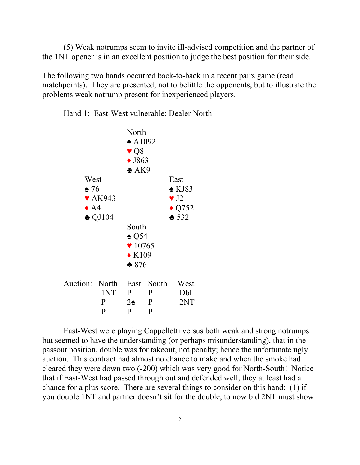(5) Weak notrumps seem to invite ill-advised competition and the partner of the 1NT opener is in an excellent position to judge the best position for their side.

The following two hands occurred back-to-back in a recent pairs game (read matchpoints). They are presented, not to belittle the opponents, but to illustrate the problems weak notrump present for inexperienced players.

Hand 1: East-West vulnerable; Dealer North



East-West were playing Cappelletti versus both weak and strong notrumps but seemed to have the understanding (or perhaps misunderstanding), that in the passout position, double was for takeout, not penalty; hence the unfortunate ugly auction. This contract had almost no chance to make and when the smoke had cleared they were down two (-200) which was very good for North-South! Notice that if East-West had passed through out and defended well, they at least had a chance for a plus score. There are several things to consider on this hand: (1) if you double 1NT and partner doesn't sit for the double, to now bid 2NT must show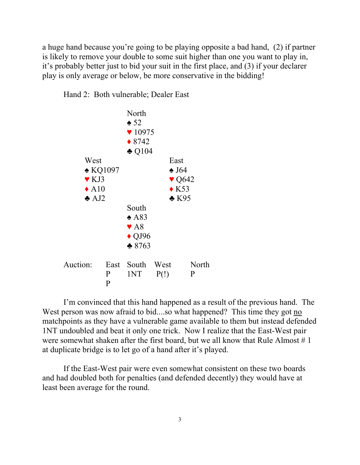a huge hand because you're going to be playing opposite a bad hand, (2) if partner is likely to remove your double to some suit higher than one you want to play in, it's probably better just to bid your suit in the first place, and (3) if your declarer play is only average or below, be more conservative in the bidding!

Hand 2: Both vulnerable; Dealer East



I'm convinced that this hand happened as a result of the previous hand. The West person was now afraid to bid....so what happened? This time they got no matchpoints as they have a vulnerable game available to them but instead defended 1NT undoubled and beat it only one trick. Now I realize that the East-West pair were somewhat shaken after the first board, but we all know that Rule Almost  $# 1$ at duplicate bridge is to let go of a hand after it's played.

If the East-West pair were even somewhat consistent on these two boards and had doubled both for penalties (and defended decently) they would have at least been average for the round.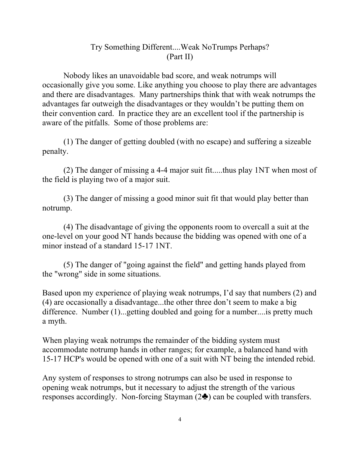## Try Something Different....Weak NoTrumps Perhaps? (Part II)

Nobody likes an unavoidable bad score, and weak notrumps will occasionally give you some. Like anything you choose to play there are advantages and there are disadvantages. Many partnerships think that with weak notrumps the advantages far outweigh the disadvantages or they wouldn't be putting them on their convention card. In practice they are an excellent tool if the partnership is aware of the pitfalls. Some of those problems are:

(1) The danger of getting doubled (with no escape) and suffering a sizeable penalty.

(2) The danger of missing a 4-4 major suit fit.....thus play 1NT when most of the field is playing two of a major suit.

(3) The danger of missing a good minor suit fit that would play better than notrump.

(4) The disadvantage of giving the opponents room to overcall a suit at the one-level on your good NT hands because the bidding was opened with one of a minor instead of a standard 15-17 1NT.

(5) The danger of "going against the field" and getting hands played from the "wrong" side in some situations.

Based upon my experience of playing weak notrumps, I'd say that numbers (2) and (4) are occasionally a disadvantage...the other three don't seem to make a big difference. Number (1)...getting doubled and going for a number....is pretty much a myth.

When playing weak notrumps the remainder of the bidding system must accommodate notrump hands in other ranges; for example, a balanced hand with 15-17 HCP's would be opened with one of a suit with NT being the intended rebid.

Any system of responses to strong notrumps can also be used in response to opening weak notrumps, but it necessary to adjust the strength of the various responses accordingly. Non-forcing Stayman  $(2\clubsuit)$  can be coupled with transfers.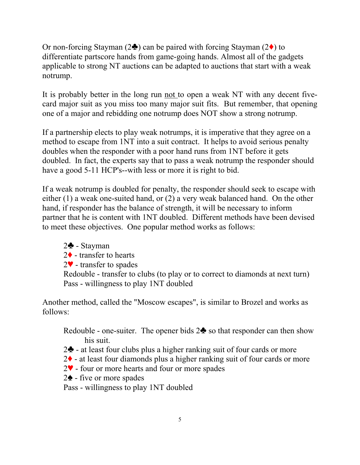Or non-forcing Stayman ( $2\clubsuit$ ) can be paired with forcing Stayman ( $2\spadesuit$ ) to differentiate partscore hands from game-going hands. Almost all of the gadgets applicable to strong NT auctions can be adapted to auctions that start with a weak notrump.

It is probably better in the long run not to open a weak NT with any decent fivecard major suit as you miss too many major suit fits. But remember, that opening one of a major and rebidding one notrump does NOT show a strong notrump.

If a partnership elects to play weak notrumps, it is imperative that they agree on a method to escape from 1NT into a suit contract. It helps to avoid serious penalty doubles when the responder with a poor hand runs from 1NT before it gets doubled. In fact, the experts say that to pass a weak notrump the responder should have a good 5-11 HCP's--with less or more it is right to bid.

If a weak notrump is doubled for penalty, the responder should seek to escape with either (1) a weak one-suited hand, or (2) a very weak balanced hand. On the other hand, if responder has the balance of strength, it will be necessary to inform partner that he is content with 1NT doubled. Different methods have been devised to meet these objectives. One popular method works as follows:

 $2\clubsuit$  - Stayman  $2\blacklozenge$  - transfer to hearts  $2\blacktriangledown$  - transfer to spades Redouble - transfer to clubs (to play or to correct to diamonds at next turn) Pass - willingness to play 1NT doubled

Another method, called the "Moscow escapes", is similar to Brozel and works as follows:

Redouble - one-suiter. The opener bids  $2\clubsuit$  so that responder can then show his suit.

- $2\spadesuit$  at least four clubs plus a higher ranking suit of four cards or more
- $2\blacklozenge$  at least four diamonds plus a higher ranking suit of four cards or more
- $2\blacktriangledown$  four or more hearts and four or more spades
- $2\spadesuit$  five or more spades

Pass - willingness to play 1NT doubled